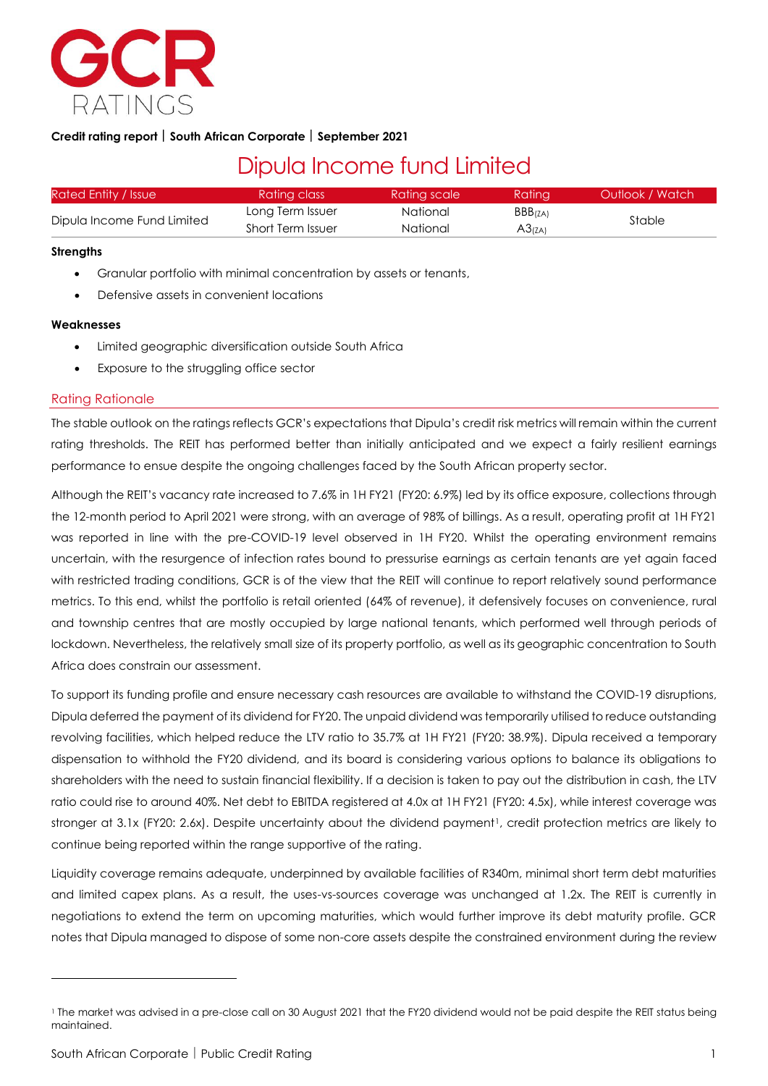

# **Credit rating report South African Corporate September 2021**

# Dipula Income fund Limited

| Rated Entity / Issue       | Rating class      | Rating scale | Ratina  | Outlook / Watch |  |
|----------------------------|-------------------|--------------|---------|-----------------|--|
| Dipula Income Fund Limited | Long Term Issuer  | National     | BBB(ZA) |                 |  |
|                            | Short Term Issuer | National     | A3(ZA)  | Stable          |  |

#### **Strengths**

- Granular portfolio with minimal concentration by assets or tenants,
- Defensive assets in convenient locations

## **Weaknesses**

- Limited geographic diversification outside South Africa
- Exposure to the struggling office sector

## Rating Rationale

The stable outlook on the ratings reflects GCR's expectations that Dipula's credit risk metrics will remain within the current rating thresholds. The REIT has performed better than initially anticipated and we expect a fairly resilient earnings performance to ensue despite the ongoing challenges faced by the South African property sector.

Although the REIT's vacancy rate increased to 7.6% in 1H FY21 (FY20: 6.9%) led by its office exposure, collections through the 12-month period to April 2021 were strong, with an average of 98% of billings. As a result, operating profit at 1H FY21 was reported in line with the pre-COVID-19 level observed in 1H FY20. Whilst the operating environment remains uncertain, with the resurgence of infection rates bound to pressurise earnings as certain tenants are yet again faced with restricted trading conditions, GCR is of the view that the REIT will continue to report relatively sound performance metrics. To this end, whilst the portfolio is retail oriented (64% of revenue), it defensively focuses on convenience, rural and township centres that are mostly occupied by large national tenants, which performed well through periods of lockdown. Nevertheless, the relatively small size of its property portfolio, as well as its geographic concentration to South Africa does constrain our assessment.

To support its funding profile and ensure necessary cash resources are available to withstand the COVID-19 disruptions, Dipula deferred the payment of its dividend for FY20. The unpaid dividend was temporarily utilised to reduce outstanding revolving facilities, which helped reduce the LTV ratio to 35.7% at 1H FY21 (FY20: 38.9%). Dipula received a temporary dispensation to withhold the FY20 dividend, and its board is considering various options to balance its obligations to shareholders with the need to sustain financial flexibility. If a decision is taken to pay out the distribution in cash, the LTV ratio could rise to around 40%. Net debt to EBITDA registered at 4.0x at 1H FY21 (FY20: 4.5x), while interest coverage was stronger at 3.1x (FY20: 2.6x). Despite uncertainty about the dividend payment<sup>1</sup>, credit protection metrics are likely to continue being reported within the range supportive of the rating.

Liquidity coverage remains adequate, underpinned by available facilities of R340m, minimal short term debt maturities and limited capex plans. As a result, the uses-vs-sources coverage was unchanged at 1.2x. The REIT is currently in negotiations to extend the term on upcoming maturities, which would further improve its debt maturity profile. GCR notes that Dipula managed to dispose of some non-core assets despite the constrained environment during the review

<sup>1</sup> The market was advised in a pre-close call on 30 August 2021 that the FY20 dividend would not be paid despite the REIT status being maintained.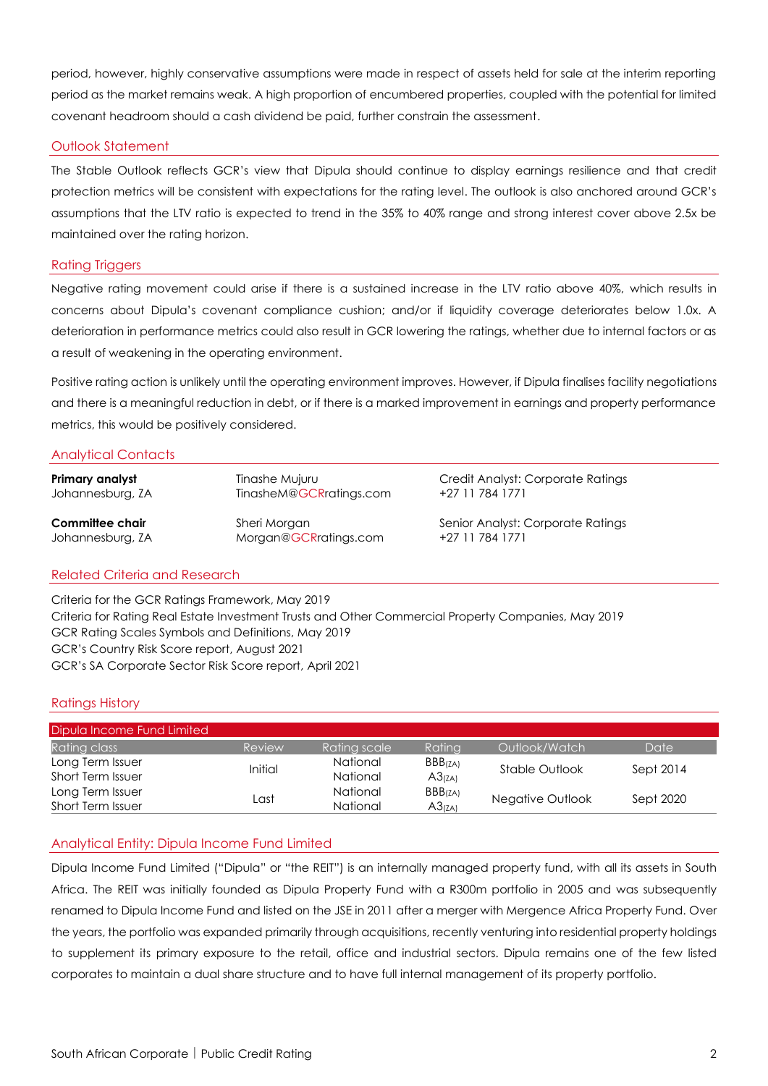period, however, highly conservative assumptions were made in respect of assets held for sale at the interim reporting period as the market remains weak. A high proportion of encumbered properties, coupled with the potential for limited covenant headroom should a cash dividend be paid, further constrain the assessment.

# Outlook Statement

The Stable Outlook reflects GCR's view that Dipula should continue to display earnings resilience and that credit protection metrics will be consistent with expectations for the rating level. The outlook is also anchored around GCR's assumptions that the LTV ratio is expected to trend in the 35% to 40% range and strong interest cover above 2.5x be maintained over the rating horizon.

# Rating Triggers

Negative rating movement could arise if there is a sustained increase in the LTV ratio above 40%, which results in concerns about Dipula's covenant compliance cushion; and/or if liquidity coverage deteriorates below 1.0x. A deterioration in performance metrics could also result in GCR lowering the ratings, whether due to internal factors or as a result of weakening in the operating environment.

Positive rating action is unlikely until the operating environment improves. However, if Dipula finalises facility negotiations and there is a meaningful reduction in debt, or if there is a marked improvement in earnings and property performance metrics, this would be positively considered.

# Analytical Contacts

| Primary analyst  | Tinashe Mujuru          | Credit Analyst: Corporate Ratings |
|------------------|-------------------------|-----------------------------------|
| Johannesburg, ZA | TinasheM@GCRratings.com | +27 11 784 1771                   |
| Committee chair  | Sheri Morgan            | Senior Analyst: Corporate Ratings |
| Johannesburg, ZA | Morgan@GCRratings.com   | +27 11 784 1771                   |

# Related Criteria and Research

Criteria for the GCR Ratings Framework, May 2019 Criteria for Rating Real Estate Investment Trusts and Other Commercial Property Companies, May 2019 GCR Rating Scales Symbols and Definitions, May 2019 GCR's Country Risk Score report, August 2021 GCR's SA Corporate Sector Risk Score report, April 2021

# Ratings History

| Dipula Income Fund Limited |                |                       |         |                  |           |
|----------------------------|----------------|-----------------------|---------|------------------|-----------|
| Rating class               | Review         | Rating scale <b>1</b> | Ratina  | Outlook/Watch    | Date      |
| Long Term Issuer           | <b>Initial</b> | National              | BBB(ZA) | Stable Outlook   | Sept 2014 |
| <b>Short Term Issuer</b>   |                | <b>National</b>       | A3(ZA)  |                  |           |
| Long Term Issuer           |                | National              | BBB(ZA) |                  |           |
| <b>Short Term Issuer</b>   | Last           | <b>National</b>       | A3(ZA)  | Negative Outlook | Sept 2020 |

# Analytical Entity: Dipula Income Fund Limited

Dipula Income Fund Limited ("Dipula" or "the REIT") is an internally managed property fund, with all its assets in South Africa. The REIT was initially founded as Dipula Property Fund with a R300m portfolio in 2005 and was subsequently renamed to Dipula Income Fund and listed on the JSE in 2011 after a merger with Mergence Africa Property Fund. Over the years, the portfolio was expanded primarily through acquisitions, recently venturing into residential property holdings to supplement its primary exposure to the retail, office and industrial sectors. Dipula remains one of the few listed corporates to maintain a dual share structure and to have full internal management of its property portfolio.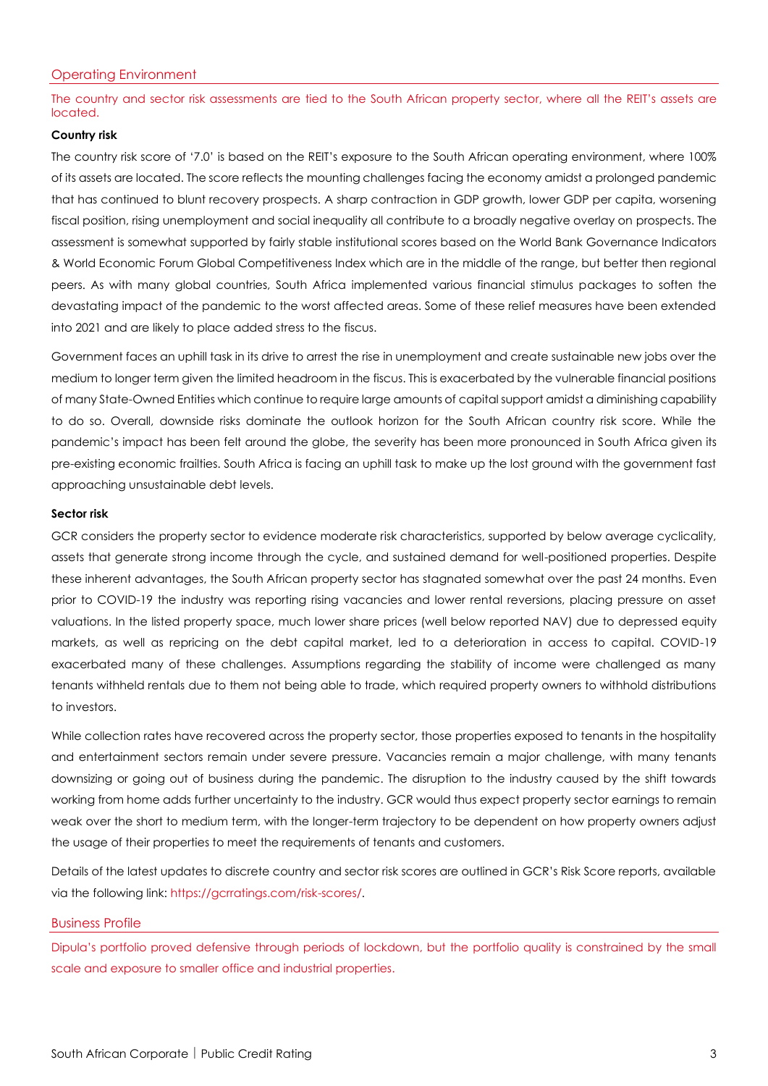The country and sector risk assessments are tied to the South African property sector, where all the REIT's assets are located.

## **Country risk**

The country risk score of '7.0' is based on the REIT's exposure to the South African operating environment, where 100% of its assets are located. The score reflects the mounting challenges facing the economy amidst a prolonged pandemic that has continued to blunt recovery prospects. A sharp contraction in GDP growth, lower GDP per capita, worsening fiscal position, rising unemployment and social inequality all contribute to a broadly negative overlay on prospects. The assessment is somewhat supported by fairly stable institutional scores based on the World Bank Governance Indicators & World Economic Forum Global Competitiveness Index which are in the middle of the range, but better then regional peers. As with many global countries, South Africa implemented various financial stimulus packages to soften the devastating impact of the pandemic to the worst affected areas. Some of these relief measures have been extended into 2021 and are likely to place added stress to the fiscus.

Government faces an uphill task in its drive to arrest the rise in unemployment and create sustainable new jobs over the medium to longer term given the limited headroom in the fiscus. This is exacerbated by the vulnerable financial positions of many State-Owned Entities which continue to require large amounts of capital support amidst a diminishing capability to do so. Overall, downside risks dominate the outlook horizon for the South African country risk score. While the pandemic's impact has been felt around the globe, the severity has been more pronounced in South Africa given its pre-existing economic frailties. South Africa is facing an uphill task to make up the lost ground with the government fast approaching unsustainable debt levels.

## **Sector risk**

GCR considers the property sector to evidence moderate risk characteristics, supported by below average cyclicality, assets that generate strong income through the cycle, and sustained demand for well-positioned properties. Despite these inherent advantages, the South African property sector has stagnated somewhat over the past 24 months. Even prior to COVID-19 the industry was reporting rising vacancies and lower rental reversions, placing pressure on asset valuations. In the listed property space, much lower share prices (well below reported NAV) due to depressed equity markets, as well as repricing on the debt capital market, led to a deterioration in access to capital. COVID-19 exacerbated many of these challenges. Assumptions regarding the stability of income were challenged as many tenants withheld rentals due to them not being able to trade, which required property owners to withhold distributions to investors.

While collection rates have recovered across the property sector, those properties exposed to tenants in the hospitality and entertainment sectors remain under severe pressure. Vacancies remain a major challenge, with many tenants downsizing or going out of business during the pandemic. The disruption to the industry caused by the shift towards working from home adds further uncertainty to the industry. GCR would thus expect property sector earnings to remain weak over the short to medium term, with the longer-term trajectory to be dependent on how property owners adjust the usage of their properties to meet the requirements of tenants and customers.

Details of the latest updates to discrete country and sector risk scores are outlined in GCR's Risk Score reports, available via the following link: [https://gcrratings.com/risk-scores/.](https://gcrratings.com/risk-scores/)

# Business Profile

Dipula's portfolio proved defensive through periods of lockdown, but the portfolio quality is constrained by the small scale and exposure to smaller office and industrial properties.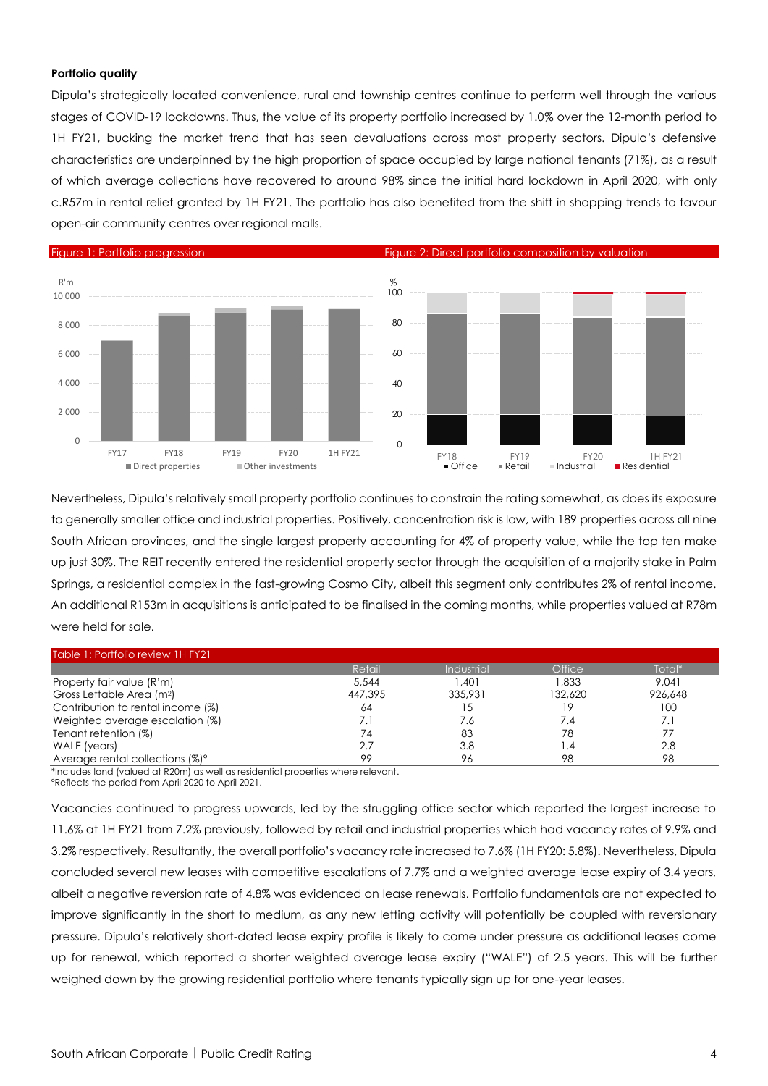### **Portfolio quality**

Dipula's strategically located convenience, rural and township centres continue to perform well through the various stages of COVID-19 lockdowns. Thus, the value of its property portfolio increased by 1.0% over the 12-month period to 1H FY21, bucking the market trend that has seen devaluations across most property sectors. Dipula's defensive characteristics are underpinned by the high proportion of space occupied by large national tenants (71%), as a result of which average collections have recovered to around 98% since the initial hard lockdown in April 2020, with only c.R57m in rental relief granted by 1H FY21. The portfolio has also benefited from the shift in shopping trends to favour open-air community centres over regional malls.



Nevertheless, Dipula's relatively small property portfolio continues to constrain the rating somewhat, as does its exposure to generally smaller office and industrial properties. Positively, concentration risk is low, with 189 properties across all nine South African provinces, and the single largest property accounting for 4% of property value, while the top ten make up just 30%. The REIT recently entered the residential property sector through the acquisition of a majority stake in Palm Springs, a residential complex in the fast-growing Cosmo City, albeit this segment only contributes 2% of rental income. An additional R153m in acquisitions is anticipated to be finalised in the coming months, while properties valued at R78m were held for sale.

| Table 1: Portfolio review 1H FY21     |            |            |               |         |
|---------------------------------------|------------|------------|---------------|---------|
|                                       | Retail     | Industrial | <b>Office</b> | Total*  |
| Property fair value (R'm)             | 5,544      | .401       | 1.833         | 9.041   |
| Gross Lettable Area (m <sup>2</sup> ) | 447,395    | 335,931    | 132,620       | 926.648 |
| Contribution to rental income (%)     | 64         | 15         | 19            | 100     |
| Weighted average escalation (%)       | $\prime$ . | 7.6        | 7.4           | 7. i    |
| Tenant retention (%)                  | 74         | 83         | 78            |         |
| WALE (years)                          | 2.7        | 3.8        | $\cdot$       | 2.8     |
| Average rental collections (%)°       | 99         | 96         | 98            | 98      |

\*Includes land (valued at R20m) as well as residential properties where relevant. °Reflects the period from April 2020 to April 2021.

Vacancies continued to progress upwards, led by the struggling office sector which reported the largest increase to 11.6% at 1H FY21 from 7.2% previously, followed by retail and industrial properties which had vacancy rates of 9.9% and 3.2% respectively. Resultantly, the overall portfolio's vacancy rate increased to 7.6% (1H FY20: 5.8%). Nevertheless, Dipula concluded several new leases with competitive escalations of 7.7% and a weighted average lease expiry of 3.4 years, albeit a negative reversion rate of 4.8% was evidenced on lease renewals. Portfolio fundamentals are not expected to improve significantly in the short to medium, as any new letting activity will potentially be coupled with reversionary pressure. Dipula's relatively short-dated lease expiry profile is likely to come under pressure as additional leases come up for renewal, which reported a shorter weighted average lease expiry ("WALE") of 2.5 years. This will be further weighed down by the growing residential portfolio where tenants typically sign up for one-year leases.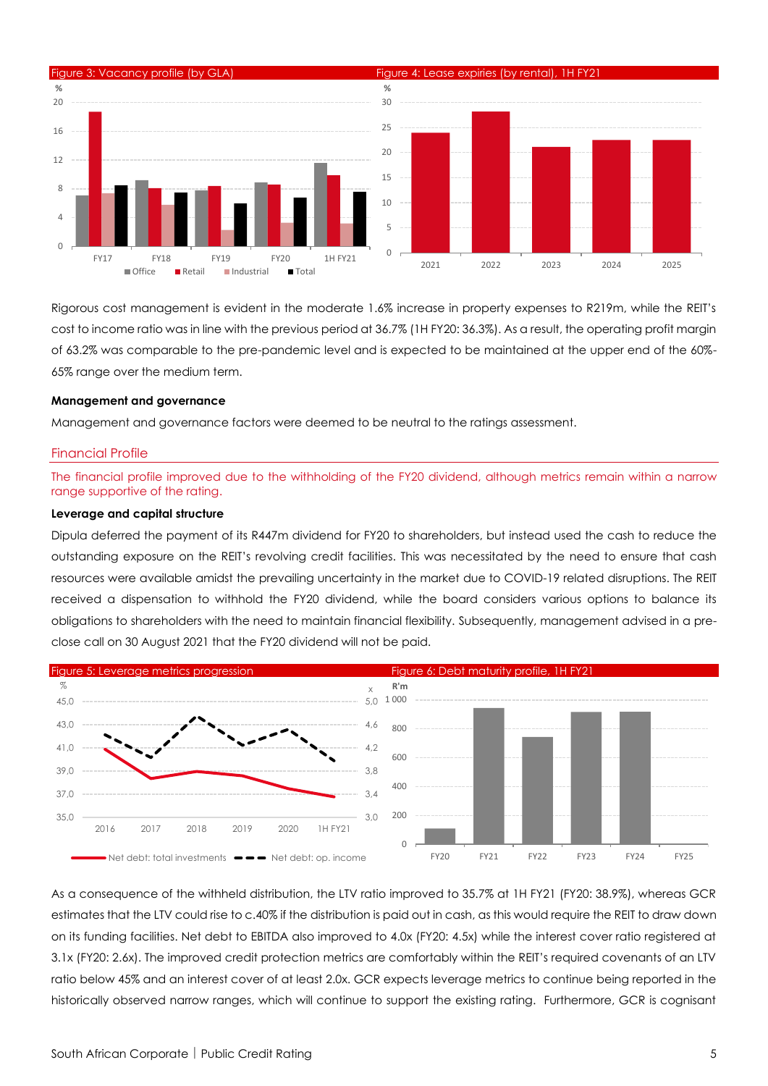

Rigorous cost management is evident in the moderate 1.6% increase in property expenses to R219m, while the REIT's cost to income ratio was in line with the previous period at 36.7% (1H FY20: 36.3%). As a result, the operating profit margin of 63.2% was comparable to the pre-pandemic level and is expected to be maintained at the upper end of the 60%- 65% range over the medium term.

#### **Management and governance**

Management and governance factors were deemed to be neutral to the ratings assessment.

#### Financial Profile

The financial profile improved due to the withholding of the FY20 dividend, although metrics remain within a narrow range supportive of the rating.

#### **Leverage and capital structure**

Dipula deferred the payment of its R447m dividend for FY20 to shareholders, but instead used the cash to reduce the outstanding exposure on the REIT's revolving credit facilities. This was necessitated by the need to ensure that cash resources were available amidst the prevailing uncertainty in the market due to COVID-19 related disruptions. The REIT received a dispensation to withhold the FY20 dividend, while the board considers various options to balance its obligations to shareholders with the need to maintain financial flexibility. Subsequently, management advised in a preclose call on 30 August 2021 that the FY20 dividend will not be paid.



As a consequence of the withheld distribution, the LTV ratio improved to 35.7% at 1H FY21 (FY20: 38.9%), whereas GCR estimates that the LTV could rise to c.40% if the distribution is paid out in cash, as this would require the REIT to draw down on its funding facilities. Net debt to EBITDA also improved to 4.0x (FY20: 4.5x) while the interest cover ratio registered at 3.1x (FY20: 2.6x). The improved credit protection metrics are comfortably within the REIT's required covenants of an LTV ratio below 45% and an interest cover of at least 2.0x. GCR expects leverage metrics to continue being reported in the historically observed narrow ranges, which will continue to support the existing rating. Furthermore, GCR is cognisant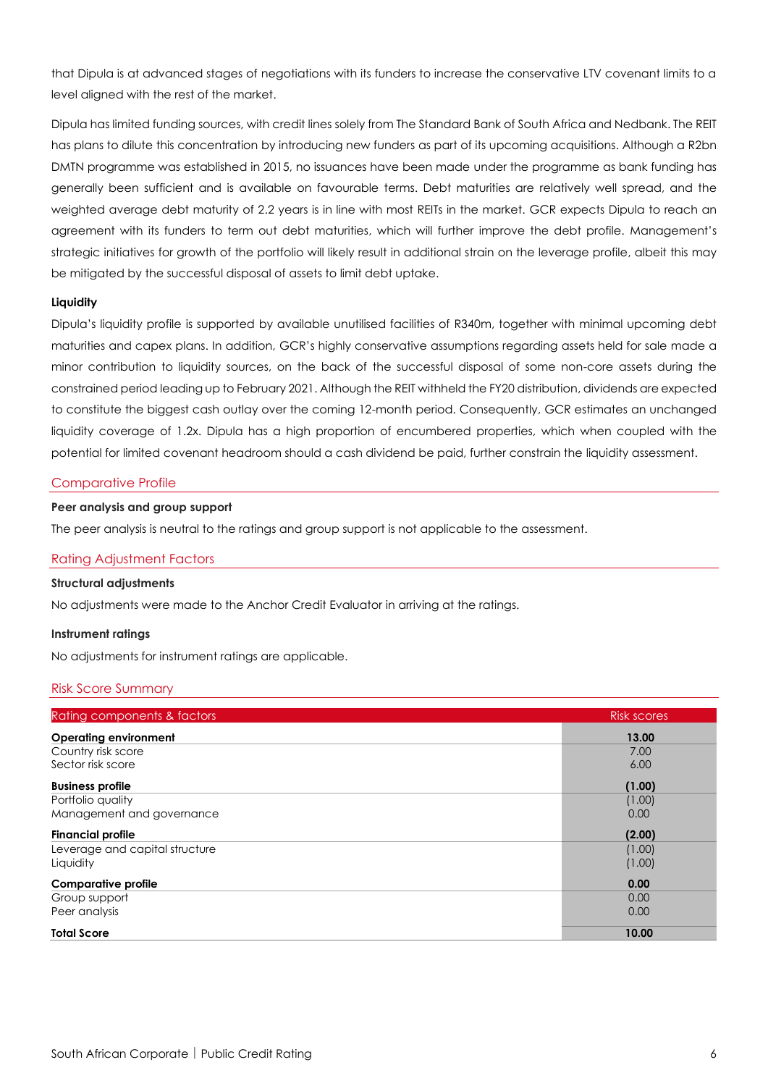that Dipula is at advanced stages of negotiations with its funders to increase the conservative LTV covenant limits to a level aligned with the rest of the market.

Dipula has limited funding sources, with credit lines solely from The Standard Bank of South Africa and Nedbank. The REIT has plans to dilute this concentration by introducing new funders as part of its upcoming acquisitions. Although a R2bn DMTN programme was established in 2015, no issuances have been made under the programme as bank funding has generally been sufficient and is available on favourable terms. Debt maturities are relatively well spread, and the weighted average debt maturity of 2.2 years is in line with most REITs in the market. GCR expects Dipula to reach an agreement with its funders to term out debt maturities, which will further improve the debt profile. Management's strategic initiatives for growth of the portfolio will likely result in additional strain on the leverage profile, albeit this may be mitigated by the successful disposal of assets to limit debt uptake.

## **Liquidity**

Dipula's liquidity profile is supported by available unutilised facilities of R340m, together with minimal upcoming debt maturities and capex plans. In addition, GCR's highly conservative assumptions regarding assets held for sale made a minor contribution to liquidity sources, on the back of the successful disposal of some non-core assets during the constrained period leading up to February 2021. Although the REIT withheld the FY20 distribution, dividends are expected to constitute the biggest cash outlay over the coming 12-month period. Consequently, GCR estimates an unchanged liquidity coverage of 1.2x. Dipula has a high proportion of encumbered properties, which when coupled with the potential for limited covenant headroom should a cash dividend be paid, further constrain the liquidity assessment.

#### Comparative Profile

#### **Peer analysis and group support**

The peer analysis is neutral to the ratings and group support is not applicable to the assessment.

### Rating Adjustment Factors

#### **Structural adjustments**

No adjustments were made to the Anchor Credit Evaluator in arriving at the ratings.

#### **Instrument ratings**

No adjustments for instrument ratings are applicable.

#### Risk Score Summary

| Rating components & factors    | <b>Risk scores</b> |
|--------------------------------|--------------------|
| <b>Operating environment</b>   | 13.00              |
| Country risk score             | 7.00               |
| Sector risk score              | 6.00               |
| <b>Business profile</b>        | (1.00)             |
| Portfolio quality              | (1.00)             |
| Management and governance      | 0.00               |
| <b>Financial profile</b>       | (2.00)             |
| Leverage and capital structure | (1.00)             |
| Liquidity                      | (1.00)             |
| <b>Comparative profile</b>     | 0.00               |
| Group support                  | 0.00               |
| Peer analysis                  | 0.00               |
| <b>Total Score</b>             | 10.00              |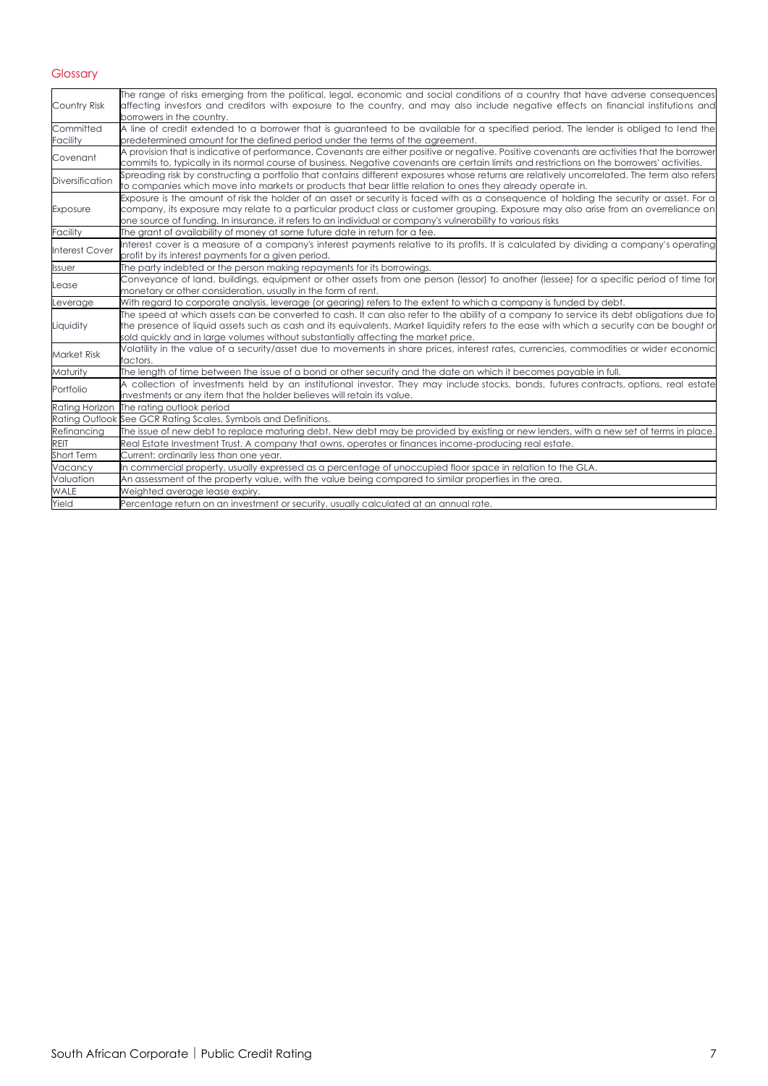# Glossary

| Country Risk           | The range of risks emerging from the political, legal, economic and social conditions of a country that have adverse consequences<br>affecting investors and creditors with exposure to the country, and may also include negative effects on financial institutions and<br>borrowers in the country.                                                                                           |
|------------------------|-------------------------------------------------------------------------------------------------------------------------------------------------------------------------------------------------------------------------------------------------------------------------------------------------------------------------------------------------------------------------------------------------|
| Committed<br>Facility  | A line of credit extended to a borrower that is guaranteed to be available for a specified period. The lender is obliged to lend the<br>predetermined amount for the defined period under the terms of the agreement.                                                                                                                                                                           |
| Covenant               | A provision that is indicative of performance. Covenants are either positive or negative. Positive covenants are activities that the borrower<br>commits to, typically in its normal course of business. Negative covenants are certain limits and restrictions on the borrowers' activities.                                                                                                   |
| <b>Diversification</b> | Spreading risk by constructing a portfolio that contains different exposures whose returns are relatively uncorrelated. The term also refers<br>to companies which move into markets or products that bear little relation to ones they already operate in.                                                                                                                                     |
| Exposure               | Exposure is the amount of risk the holder of an asset or security is faced with as a consequence of holding the security or asset. For a<br>company, its exposure may relate to a particular product class or customer grouping. Exposure may also arise from an overreliance on<br>one source of funding. In insurance, it refers to an individual or company's vulnerability to various risks |
| Facility               | The grant of availability of money at some future date in return for a fee.                                                                                                                                                                                                                                                                                                                     |
| <b>Interest Cover</b>  | Interest cover is a measure of a company's interest payments relative to its profits. It is calculated by dividing a company's operating<br>profit by its interest payments for a given period.                                                                                                                                                                                                 |
| Issuer                 | The party indebted or the person making repayments for its borrowings.                                                                                                                                                                                                                                                                                                                          |
| Lease                  | Conveyance of land, buildings, equipment or other assets from one person (lessor) to another (lessee) for a specific period of time for<br>monetary or other consideration, usually in the form of rent.                                                                                                                                                                                        |
| Leverage               | With regard to corporate analysis, leverage (or gearing) refers to the extent to which a company is funded by debt.                                                                                                                                                                                                                                                                             |
| Liquidity              | The speed at which assets can be converted to cash. It can also refer to the ability of a company to service its debt obligations due to<br>the presence of liquid assets such as cash and its equivalents. Market liquidity refers to the ease with which a security can be bought or<br>sold quickly and in large volumes without substantially affecting the market price.                   |
| Market Risk            | Volatility in the value of a security/asset due to movements in share prices, interest rates, currencies, commodities or wider economic<br>factors.                                                                                                                                                                                                                                             |
| Maturity               | The length of time between the issue of a bond or other security and the date on which it becomes payable in full.                                                                                                                                                                                                                                                                              |
| Portfolio              | A collection of investments held by an institutional investor. They may include stocks, bonds, futures contracts, options, real estate<br>investments or any item that the holder believes will retain its value.                                                                                                                                                                               |
| Rating Horizon         | The rating outlook period                                                                                                                                                                                                                                                                                                                                                                       |
|                        | Rating Outlook See GCR Rating Scales, Symbols and Definitions.                                                                                                                                                                                                                                                                                                                                  |
| Refinancing            | The issue of new debt to replace maturing debt. New debt may be provided by existing or new lenders, with a new set of terms in place.                                                                                                                                                                                                                                                          |
| <b>REIT</b>            | Real Estate Investment Trust. A company that owns, operates or finances income-producing real estate.                                                                                                                                                                                                                                                                                           |
| Short Term             | Current; ordinarily less than one year.                                                                                                                                                                                                                                                                                                                                                         |
| Vacancy                | In commercial property, usually expressed as a percentage of unoccupied floor space in relation to the GLA.                                                                                                                                                                                                                                                                                     |
| Valuation              | An assessment of the property value, with the value being compared to similar properties in the area.                                                                                                                                                                                                                                                                                           |
| <b>WALE</b>            | Weighted average lease expiry.                                                                                                                                                                                                                                                                                                                                                                  |
| Yield                  | Percentage return on an investment or security, usually calculated at an annual rate.                                                                                                                                                                                                                                                                                                           |